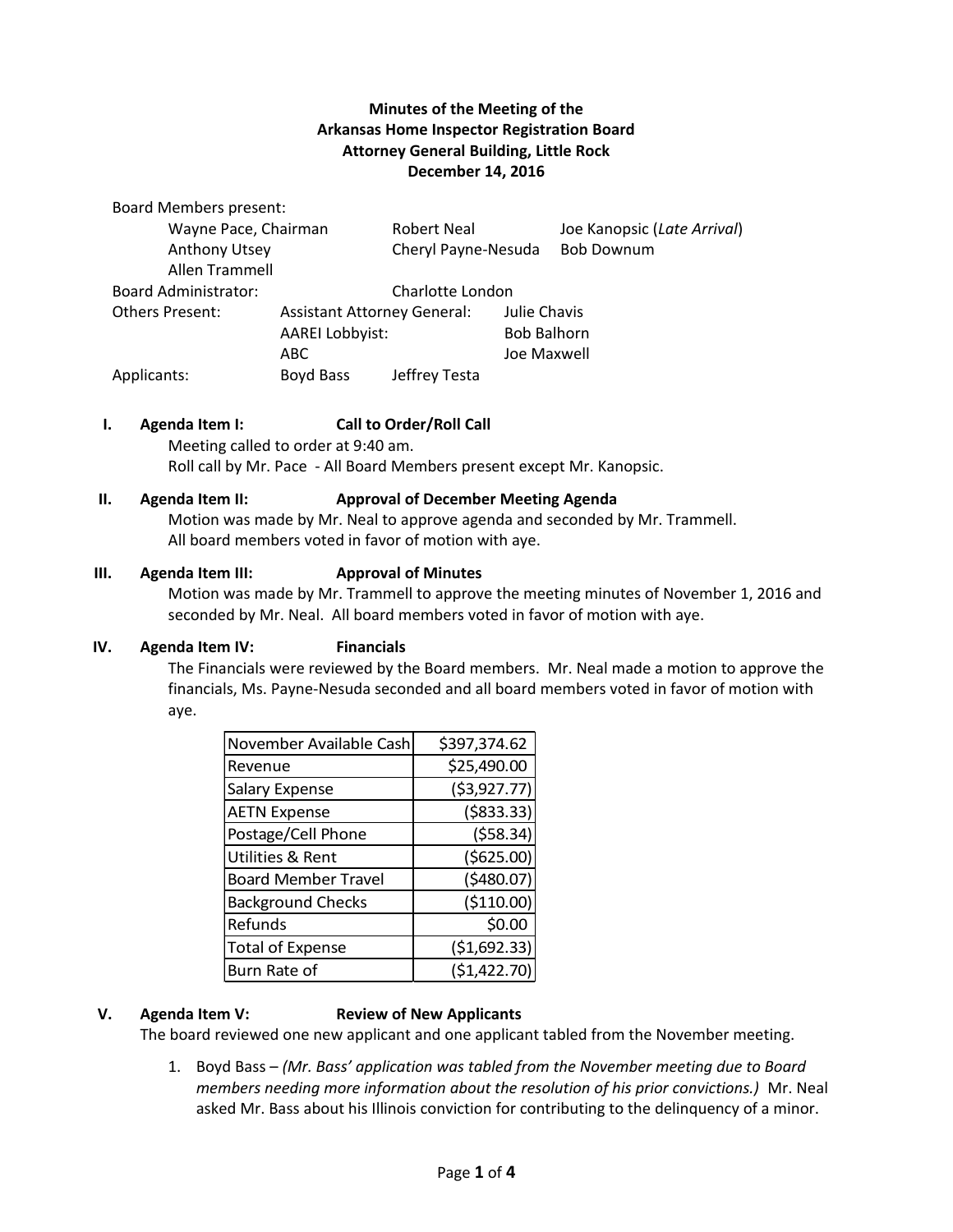# **Minutes of the Meeting of the Arkansas Home Inspector Registration Board Attorney General Building, Little Rock December 14, 2016**

Board Members present:

| Wayne Pace, Chairman        |                                    | <b>Robert Neal</b>  |                    | Joe Kanopsic (Late Arrival) |
|-----------------------------|------------------------------------|---------------------|--------------------|-----------------------------|
| Anthony Utsey               |                                    | Cheryl Payne-Nesuda |                    | <b>Bob Downum</b>           |
| Allen Trammell              |                                    |                     |                    |                             |
| <b>Board Administrator:</b> | Charlotte London                   |                     |                    |                             |
| Others Present:             | <b>Assistant Attorney General:</b> |                     | Julie Chavis       |                             |
|                             | <b>AAREI Lobbyist:</b>             |                     | <b>Bob Balhorn</b> |                             |
|                             | ABC.                               |                     | Joe Maxwell        |                             |
| Applicants:                 | Boyd Bass                          | Jeffrey Testa       |                    |                             |

## **I. Agenda Item I: Call to Order/Roll Call**

Meeting called to order at 9:40 am. Roll call by Mr. Pace - All Board Members present except Mr. Kanopsic.

### **II. Agenda Item II: Approval of December Meeting Agenda**

Motion was made by Mr. Neal to approve agenda and seconded by Mr. Trammell. All board members voted in favor of motion with aye.

### **III. Agenda Item III: Approval of Minutes**

Motion was made by Mr. Trammell to approve the meeting minutes of November 1, 2016 and seconded by Mr. Neal. All board members voted in favor of motion with aye.

## **IV. Agenda Item IV: Financials**

The Financials were reviewed by the Board members. Mr. Neal made a motion to approve the financials, Ms. Payne-Nesuda seconded and all board members voted in favor of motion with aye.

| November Available Cash     | \$397,374.62  |
|-----------------------------|---------------|
| Revenue                     | \$25,490.00   |
| Salary Expense              | ( \$3,927.77) |
| <b>AETN Expense</b>         | ( \$833.33)   |
| Postage/Cell Phone          | (558.34)      |
| <b>Utilities &amp; Rent</b> | (\$625.00)    |
| <b>Board Member Travel</b>  | (5480.07)     |
| <b>Background Checks</b>    | (\$110.00)    |
| Refunds                     | \$0.00        |
| <b>Total of Expense</b>     | (\$1,692.33)  |
| Burn Rate of                | (\$1,422.70)  |

## **V. Agenda Item V: Review of New Applicants**

The board reviewed one new applicant and one applicant tabled from the November meeting.

1. Boyd Bass – *(Mr. Bass' application was tabled from the November meeting due to Board members needing more information about the resolution of his prior convictions.)* Mr. Neal asked Mr. Bass about his Illinois conviction for contributing to the delinquency of a minor.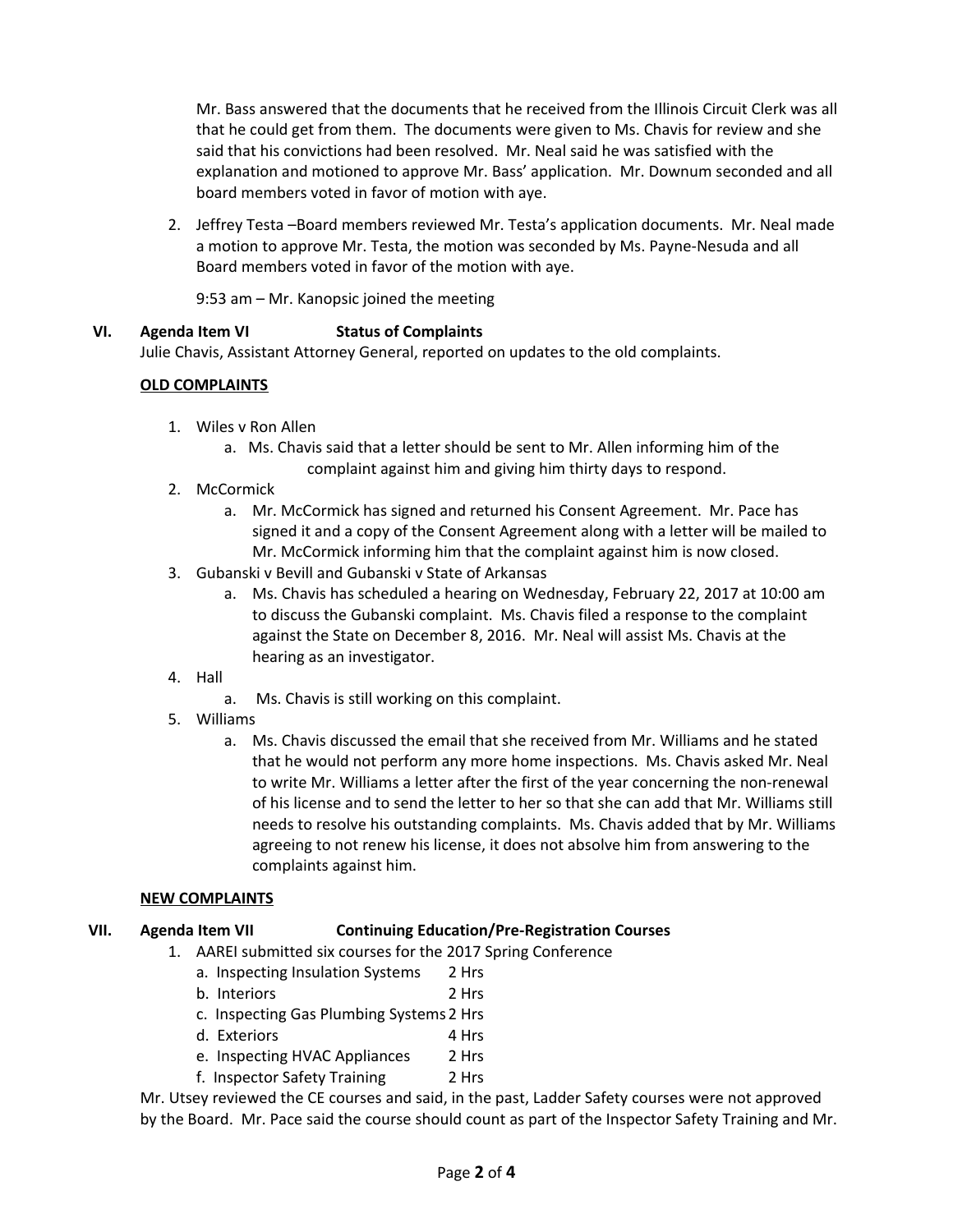Mr. Bass answered that the documents that he received from the Illinois Circuit Clerk was all that he could get from them. The documents were given to Ms. Chavis for review and she said that his convictions had been resolved. Mr. Neal said he was satisfied with the explanation and motioned to approve Mr. Bass' application. Mr. Downum seconded and all board members voted in favor of motion with aye.

2. Jeffrey Testa –Board members reviewed Mr. Testa's application documents. Mr. Neal made a motion to approve Mr. Testa, the motion was seconded by Ms. Payne-Nesuda and all Board members voted in favor of the motion with aye.

9:53 am – Mr. Kanopsic joined the meeting

## **VI. Agenda Item VI Status of Complaints**

Julie Chavis, Assistant Attorney General, reported on updates to the old complaints.

## **OLD COMPLAINTS**

- 1. Wiles v Ron Allen
	- a. Ms. Chavis said that a letter should be sent to Mr. Allen informing him of the complaint against him and giving him thirty days to respond.
- 2. McCormick
	- a. Mr. McCormick has signed and returned his Consent Agreement. Mr. Pace has signed it and a copy of the Consent Agreement along with a letter will be mailed to Mr. McCormick informing him that the complaint against him is now closed.
- 3. Gubanski v Bevill and Gubanski v State of Arkansas
	- a. Ms. Chavis has scheduled a hearing on Wednesday, February 22, 2017 at 10:00 am to discuss the Gubanski complaint. Ms. Chavis filed a response to the complaint against the State on December 8, 2016. Mr. Neal will assist Ms. Chavis at the hearing as an investigator.
- 4. Hall
	- a. Ms. Chavis is still working on this complaint.
- 5. Williams
	- a. Ms. Chavis discussed the email that she received from Mr. Williams and he stated that he would not perform any more home inspections. Ms. Chavis asked Mr. Neal to write Mr. Williams a letter after the first of the year concerning the non-renewal of his license and to send the letter to her so that she can add that Mr. Williams still needs to resolve his outstanding complaints. Ms. Chavis added that by Mr. Williams agreeing to not renew his license, it does not absolve him from answering to the complaints against him.

## **NEW COMPLAINTS**

## **VII. Agenda Item VII Continuing Education/Pre-Registration Courses**

- 1. AAREI submitted six courses for the 2017 Spring Conference
	- a. Inspecting Insulation Systems 2 Hrs
	- b. Interiors 2 Hrs
	- c. Inspecting Gas Plumbing Systems2 Hrs
	- d. Exteriors 4 Hrs
	- e. Inspecting HVAC Appliances 2 Hrs
	- f. Inspector Safety Training 2 Hrs

Mr. Utsey reviewed the CE courses and said, in the past, Ladder Safety courses were not approved by the Board. Mr. Pace said the course should count as part of the Inspector Safety Training and Mr.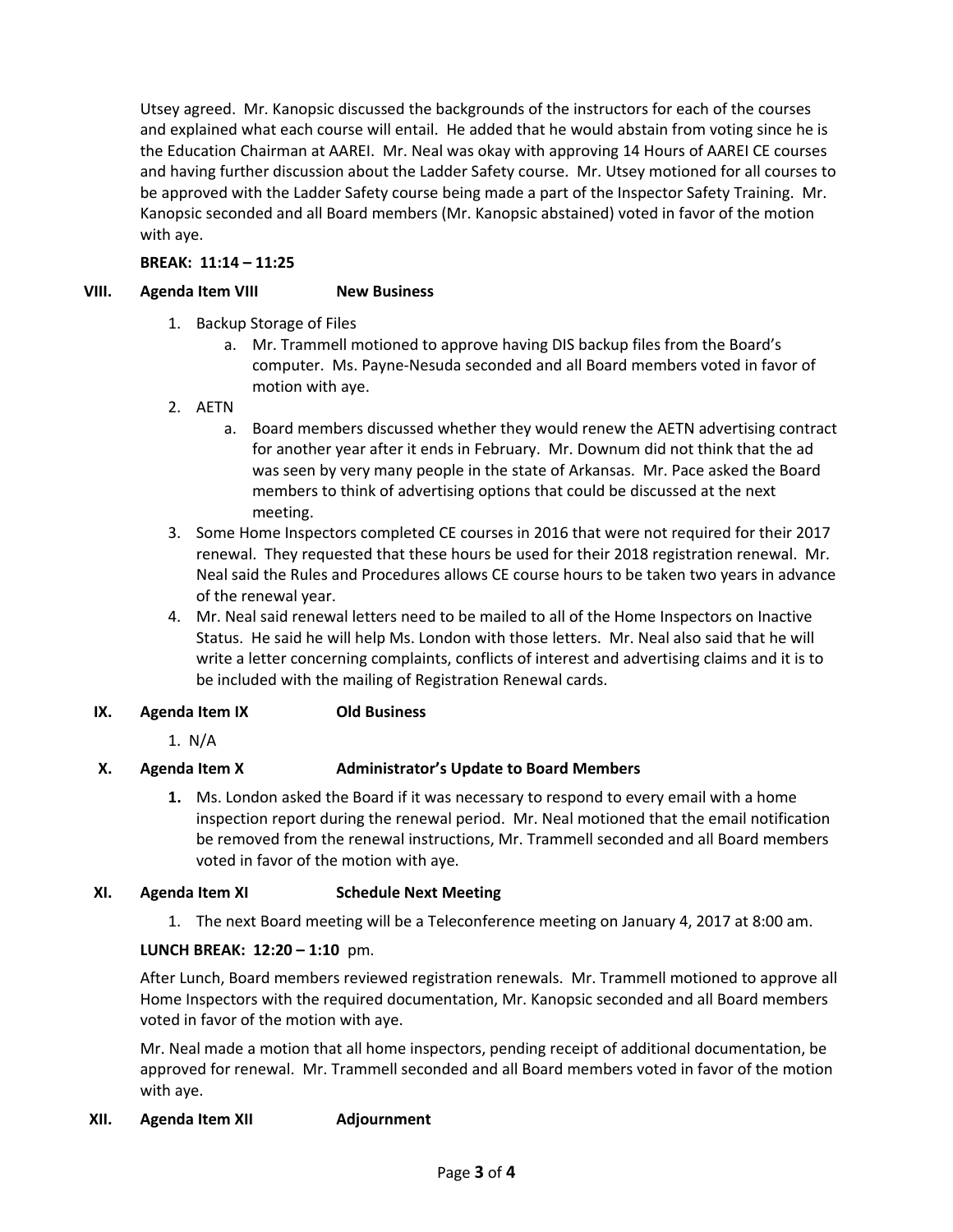Utsey agreed. Mr. Kanopsic discussed the backgrounds of the instructors for each of the courses and explained what each course will entail. He added that he would abstain from voting since he is the Education Chairman at AAREI. Mr. Neal was okay with approving 14 Hours of AAREI CE courses and having further discussion about the Ladder Safety course. Mr. Utsey motioned for all courses to be approved with the Ladder Safety course being made a part of the Inspector Safety Training. Mr. Kanopsic seconded and all Board members (Mr. Kanopsic abstained) voted in favor of the motion with aye.

## **BREAK: 11:14 – 11:25**

## **VIII. Agenda Item VIII New Business**

- 1. Backup Storage of Files
	- a. Mr. Trammell motioned to approve having DIS backup files from the Board's computer. Ms. Payne-Nesuda seconded and all Board members voted in favor of motion with aye.
- 2. AETN
	- a. Board members discussed whether they would renew the AETN advertising contract for another year after it ends in February. Mr. Downum did not think that the ad was seen by very many people in the state of Arkansas. Mr. Pace asked the Board members to think of advertising options that could be discussed at the next meeting.
- 3. Some Home Inspectors completed CE courses in 2016 that were not required for their 2017 renewal. They requested that these hours be used for their 2018 registration renewal. Mr. Neal said the Rules and Procedures allows CE course hours to be taken two years in advance of the renewal year.
- 4. Mr. Neal said renewal letters need to be mailed to all of the Home Inspectors on Inactive Status. He said he will help Ms. London with those letters. Mr. Neal also said that he will write a letter concerning complaints, conflicts of interest and advertising claims and it is to be included with the mailing of Registration Renewal cards.

## **IX. Agenda Item IX Old Business**

1. N/A

# **X. Agenda Item X Administrator's Update to Board Members**

**1.** Ms. London asked the Board if it was necessary to respond to every email with a home inspection report during the renewal period. Mr. Neal motioned that the email notification be removed from the renewal instructions, Mr. Trammell seconded and all Board members voted in favor of the motion with aye.

## **XI. Agenda Item XI Schedule Next Meeting**

1. The next Board meeting will be a Teleconference meeting on January 4, 2017 at 8:00 am.

## **LUNCH BREAK: 12:20 – 1:10** pm.

After Lunch, Board members reviewed registration renewals. Mr. Trammell motioned to approve all Home Inspectors with the required documentation, Mr. Kanopsic seconded and all Board members voted in favor of the motion with aye.

Mr. Neal made a motion that all home inspectors, pending receipt of additional documentation, be approved for renewal. Mr. Trammell seconded and all Board members voted in favor of the motion with aye.

## **XII. Agenda Item XII Adjournment**